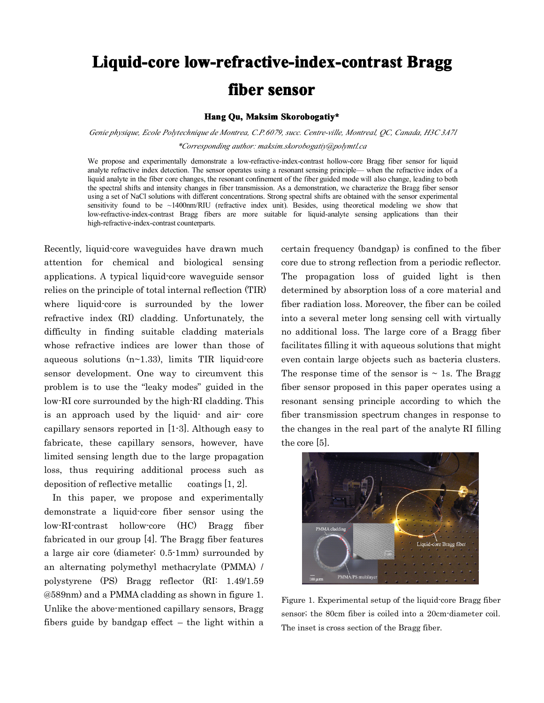## **Liquid-core low-refractive-index-contrast Bragg fiber sensor**

## **Hang** Qu, Maksim Skorobogatiy\*

*Genie physique, Ecole Polytechnique de Montrea, C.P.6079, succ. Centre-ville, Montreal, QC, Canada, H3C 3A7l \*Corresponding author: maksim.skorobogatiy@polymtl.ca*

We propose and experimentally demonstrate a low-refractive-index-contrast hollow-core Bragg fiber sensor for liquid analyte refractive index detection. The sensor operates using <sup>a</sup> resonant sensing principle— when the refractive index of <sup>a</sup> liquid analyte in the fiber core changes, the resonant confinement of the fiber guided mode will also change, leading to both the spectral shifts and intensity changes in fiber transmission. As <sup>a</sup> demonstration, we characterize the Bragg fiber sensor using <sup>a</sup> set of NaCl solutions with different concentrations. Strong spectral shifts are obtained with the sensor experimental sensitivity found to be ~1400nm/RIU (refractive index unit). Besides, using theoretical modeling we show that low-refractive-index-contrast Bragg fibers are more suitable for liquid-analyte sensing applications than their high-refractive-index-contrast counterparts.

Recently, liquid-core waveguides have drawn much attention for chemical and biological sensing applications. A typical liquid-core waveguide sensor relies on the principle of total internal reflection (TIR) where liquid-core is surrounded by the lower refractive index (RI) cladding. Unfortunately, the difficulty in finding suitable cladding materials whose refractive indices are lower than those of aqueous solutions  $(n-1.33)$ , limits TIR liquid-core sensor development. One way to circumvent this problem is to use the "leaky modes" guided in the low-RI core surrounded by the high-RI cladding. This is an approach used by the liquid- and air- core capillary sensors reported in [1-3]. Although easy to fabricate, these capillary sensors, however, have limited sensing length due to the large propagation loss, thus requiring additional process such as

deposition of reflective metallic  $\alpha$  coatings [1, 2].<br>In this paper, we propose and experimentally demonstrate <sup>a</sup> liquid-core fiber sensor using the low-RI-contrast hollow-core (HC) Bragg fiber fabricated in our group [4]. The Bragg fiber features <sup>a</sup> large air core (diameter: 0.5-1mm) surrounded by an alternating polymethyl methacrylate (PMMA) / polystyrene (PS) Bragg reflector (RI: 1.49/1.59 @589nm) and <sup>a</sup> PMMA cladding as shown in figure 1. Unlike the above-mentioned capillary sensors, Bragg fibers guide by bandgap effect – the light within <sup>a</sup> certain frequency (bandgap) is confined to the fiber core due to strong reflection from <sup>a</sup> periodic reflector. The propagation loss of guided light is then determined by absorption loss of <sup>a</sup> core material and fiber radiation loss. Moreover, the fiber can be coiled into <sup>a</sup> several meter long sensing cell with virtually no additional loss. The large core of <sup>a</sup> Bragg fiber facilitates filling it with aqueous solutions that might even contain large objects such as bacteria clusters. The response time of the sensor is  $\sim$  1s. The Bragg fiber sensor proposed in this paper operates using <sup>a</sup> resonant sensing principle according to which the fiber transmission spectrum changes in response to the changes in the real part of the analyte RI filling the core [5].



Figure 1. Experimental setup of the liquid-core Bragg fiber sensor; the 80cm fiber is coiled into <sup>a</sup> 20cm-diameter coil. The inset is cross section of the Bragg fiber.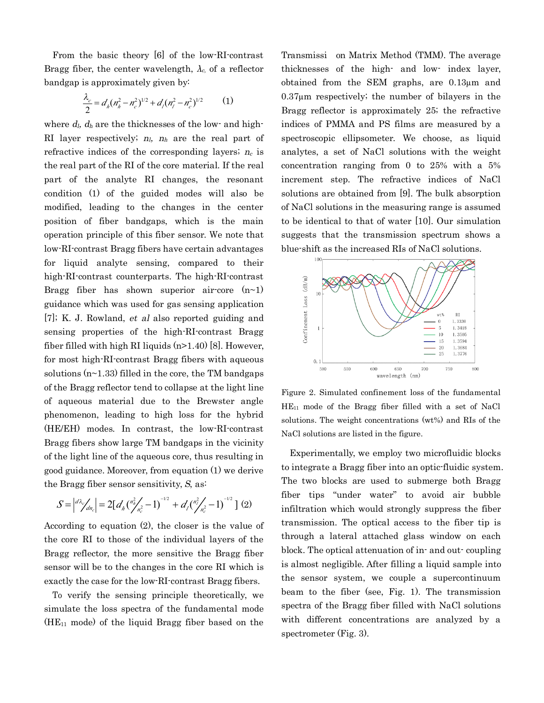From the basic theory [6] of the low-RI-contrast Bragg fiber, the center wavelength,  $\lambda_c$  of a reflector bandgap is approximately given by:

$$
\frac{\lambda_c}{2} = d_h (n_h^2 - n_c^2)^{1/2} + d_l (n_l^2 - n_c^2)^{1/2}
$$
 (1)  
where  $d_l$ ,  $d_h$  are the thicknesses of the low- and high-

RI layer respectively; *<sup>n</sup>l, <sup>n</sup><sup>h</sup>* are the real part of refractive indices of the corresponding layers; *<sup>n</sup><sup>c</sup>* is the real part of the RI of the core material. If the real part of the analyte RI changes, the resonant condition (1) of the guided modes will also be modified, leading to the changes in the center position of fiber bandgaps, which is the main operation principle of this fiber sensor. We note that low-RI-contrast Bragg fibers have certain advantages for liquid analyte sensing, compared to their high-RI-contrast counterparts. The high-RI-contrast Bragg fiber has shown superior air-core  $(n-1)$ guidance which was used for gas sensing application [7]; K. J. Rowland, *et al* also reported guiding and sensing properties of the high-RI-contrast Bragg fiber filled with high RI liquids  $(n>1.40)$  [8]. However, for most high-RI-contrast Bragg fibers with aqueous solutions  $(n-1.33)$  filled in the core, the TM bandgaps of the Bragg reflector tend to collapse at the light line of aqueous material due to the Brewster angle phenomenon, leading to high loss for the hybrid (HE/EH) modes. In contrast, the low-RI-contrast Bragg fibers show large TM bandgaps in the vicinity of the light line of the aqueous core, thus resulting in good guidance. Moreover, from equation (1) we derive the Bragg fiber sensor sensitivity, *S*, as:

$$
S = \left| \frac{d\lambda_c}{d n_c} \right| = 2 \left[ d_h \left( \frac{n_h^2}{n_c^2} - 1 \right)^{-1/2} + d_l \left( \frac{n_l^2}{n_c^2} - 1 \right)^{-1/2} \right] (2)
$$
  
According to equation (2), the closer is the value of

the core RI to those of the individual layers of the Bragg reflector, the more sensitive the Bragg fiber sensor will be to the changes in the core RI which is exactly the case for the low-RI-contrast Bragg fibers.

To verify the sensing principle theoretically, we simulate the loss spectra of the fundamental mode  $(HE_{11}$  mode) of the liquid Bragg fiber based on the

Transmissi on Matrix Method (TMM). The average thicknesses of the high- and low- index layer, obtained from the SEM graphs, are 0.13µm and 0.37µm respectively; the number of bilayers in the Bragg reflector is approximately 25; the refractive indices of PMMA and PS films are measured by <sup>a</sup> spectroscopic ellipsometer. We choose, as liquid analytes, <sup>a</sup> set of NaCl solutions with the weight concentration ranging from 0 to 25% with <sup>a</sup> 5% increment step. The refractive indices of NaCl solutions are obtained from [9]. The bulk absorption of NaCl solutions in the measuring range is assumed to be identical to that of water [10]. Our simulation suggests that the transmission spectrum shows <sup>a</sup> blue-shift as the increased RIs of NaCl solutions.



Figure 2. Simulated confinement loss of the fundamental HE<sup>11</sup> mode of the Bragg fiber filled with <sup>a</sup> set of NaCl solutions. The weight concentrations (wt%) and RIs of the NaCl solutions are listed in the figure.

Experimentally, we employ two microfluidic blocks to integrate <sup>a</sup> Bragg fiber into an optic-fluidic system. The two blocks are used to submerge both Bragg fiber tips "under water" to avoid air bubble infiltration which would strongly suppress the fiber transmission. The optical access to the fiber tip is through <sup>a</sup> lateral attached glass window on each block. The optical attenuation of in- and out- coupling is almost negligible. After filling <sup>a</sup> liquid sample into the sensor system, we couple <sup>a</sup> supercontinuum beam to the fiber (see, Fig. 1). The transmission spectra of the Bragg fiber filled with NaCl solutions with different concentrations are analyzed by <sup>a</sup> spectrometer (Fig. 3).